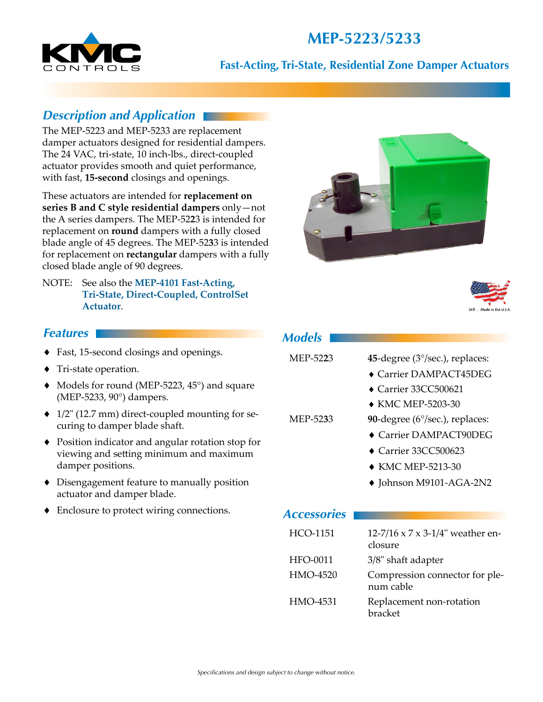# **MEP-5223/5233**



#### **Fast-Acting, Tri-State, Residential Zone Damper Actuators**

### *Description and Application*

The MEP-5223 and MEP-5233 are replacement damper actuators designed for residential dampers. The 24 VAC, tri-state, 10 inch-lbs., direct-coupled actuator provides smooth and quiet performance, with fast, **15-second** closings and openings.

These actuators are intended for **replacement on series B and C style residential dampers** only—not the A series dampers. The MEP-52**2**3 is intended for replacement on **round** dampers with a fully closed blade angle of 45 degrees. The MEP-52**3**3 is intended for replacement on **rectangular** dampers with a fully closed blade angle of 90 degrees.

NOTE: See also the **[MEP-4101 Fast-Acting,](http://www.kmccontrols.com/products/productFamilyDetail.aspx?dsid=036-035-03)  [Tri-State, Direct-Coupled, ControlSet](http://www.kmccontrols.com/products/productFamilyDetail.aspx?dsid=036-035-03)  [Actuator](http://www.kmccontrols.com/products/productFamilyDetail.aspx?dsid=036-035-03)**.





#### *Features*

- ♦ Fast, 15-second closings and openings.
- ♦ Tri-state operation.
- $\blacklozenge$  Models for round (MEP-5223, 45 $\degree$ ) and square (MEP-5233, 90°) dampers.
- $\triangleq$  1/2" (12.7 mm) direct-coupled mounting for securing to damper blade shaft.
- ◆ Position indicator and angular rotation stop for viewing and setting minimum and maximum damper positions.
- ♦ Disengagement feature to manually position actuator and damper blade.
- ♦ Enclosure to protect wiring connections.

| MEP-5223           | 45-degree $(3^{\circ}/sec.)$ , replaces:    |  |  |
|--------------------|---------------------------------------------|--|--|
|                    | $\bullet$ Carrier DAMPACT45DEG              |  |  |
|                    | $\blacktriangleright$ Carrier 33CC500621    |  |  |
|                    | $\bullet$ KMC MEP-5203-30                   |  |  |
| MEP-5233           | 90-degree $(6^{\circ}/sec.)$ , replaces:    |  |  |
|                    | $\bullet$ Carrier DAMPACT90DEG              |  |  |
|                    | $\blacklozenge$ Carrier 33CC500623          |  |  |
|                    | $\bullet$ KMC MEP-5213-30                   |  |  |
|                    | ◆ Johnson M9101-AGA-2N2                     |  |  |
|                    |                                             |  |  |
| <b>Accessories</b> |                                             |  |  |
| HCO-1151           | 12-7/16 x 7 x 3-1/4" weather en-<br>closure |  |  |

| HFO-0011 |  | 3/8" shaft adapter |
|----------|--|--------------------|
|          |  |                    |

| HMO-4520 | Compression connector for ple- |
|----------|--------------------------------|
|          | num cable                      |

HMO-4531 Replacement non-rotation bracket